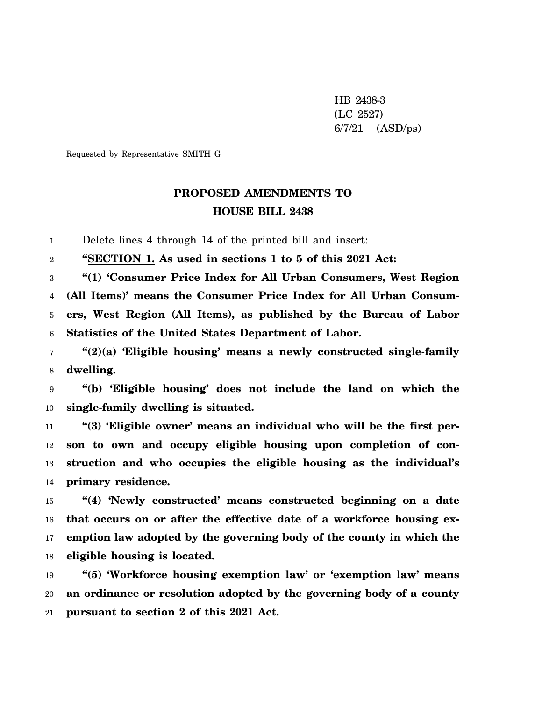HB 2438-3 (LC 2527) 6/7/21 (ASD/ps)

Requested by Representative SMITH G

## **PROPOSED AMENDMENTS TO HOUSE BILL 2438**

1 Delete lines 4 through 14 of the printed bill and insert:

2 **"SECTION 1. As used in sections 1 to 5 of this 2021 Act:**

3 4 5 6 **"(1) 'Consumer Price Index for All Urban Consumers, West Region (All Items)' means the Consumer Price Index for All Urban Consumers, West Region (All Items), as published by the Bureau of Labor Statistics of the United States Department of Labor.**

7 8 **"(2)(a) 'Eligible housing' means a newly constructed single-family dwelling.**

9 10 **"(b) 'Eligible housing' does not include the land on which the single-family dwelling is situated.**

11 12 13 14 **"(3) 'Eligible owner' means an individual who will be the first person to own and occupy eligible housing upon completion of construction and who occupies the eligible housing as the individual's primary residence.**

15 16 17 18 **"(4) 'Newly constructed' means constructed beginning on a date that occurs on or after the effective date of a workforce housing exemption law adopted by the governing body of the county in which the eligible housing is located.**

19 20 21 **"(5) 'Workforce housing exemption law' or 'exemption law' means an ordinance or resolution adopted by the governing body of a county pursuant to section 2 of this 2021 Act.**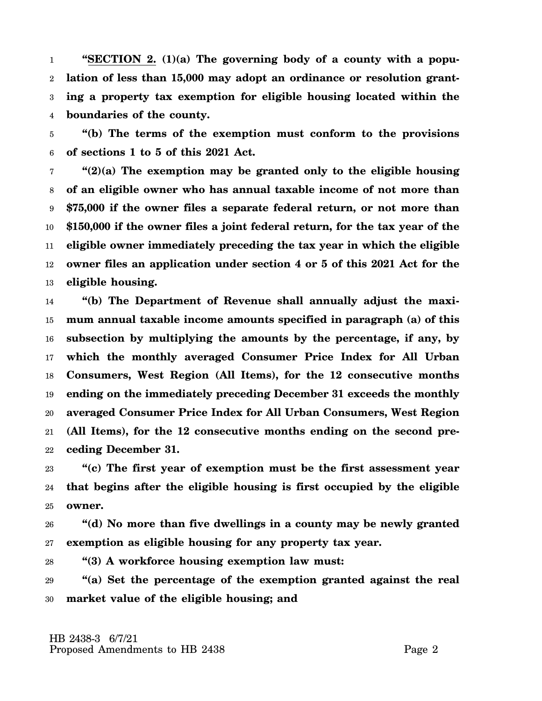1 2 3 4 **"SECTION 2. (1)(a) The governing body of a county with a population of less than 15,000 may adopt an ordinance or resolution granting a property tax exemption for eligible housing located within the boundaries of the county.**

5 6 **"(b) The terms of the exemption must conform to the provisions of sections 1 to 5 of this 2021 Act.**

7 8 9 10 11 12 13 **"(2)(a) The exemption may be granted only to the eligible housing of an eligible owner who has annual taxable income of not more than \$75,000 if the owner files a separate federal return, or not more than \$150,000 if the owner files a joint federal return, for the tax year of the eligible owner immediately preceding the tax year in which the eligible owner files an application under section 4 or 5 of this 2021 Act for the eligible housing.**

14 15 16 17 18 19 20 21 22 **"(b) The Department of Revenue shall annually adjust the maximum annual taxable income amounts specified in paragraph (a) of this subsection by multiplying the amounts by the percentage, if any, by which the monthly averaged Consumer Price Index for All Urban Consumers, West Region (All Items), for the 12 consecutive months ending on the immediately preceding December 31 exceeds the monthly averaged Consumer Price Index for All Urban Consumers, West Region (All Items), for the 12 consecutive months ending on the second preceding December 31.**

23 24 25 **"(c) The first year of exemption must be the first assessment year that begins after the eligible housing is first occupied by the eligible owner.**

26 27 **"(d) No more than five dwellings in a county may be newly granted exemption as eligible housing for any property tax year.**

28 **"(3) A workforce housing exemption law must:**

29 30 **"(a) Set the percentage of the exemption granted against the real market value of the eligible housing; and**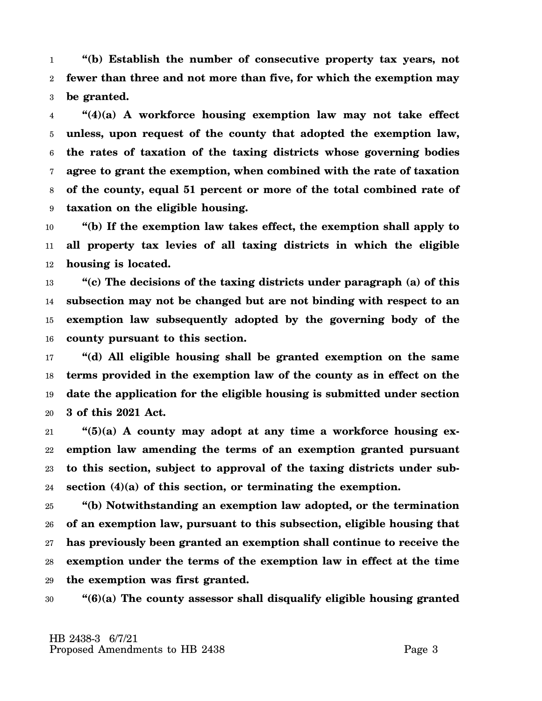1 2 3 **"(b) Establish the number of consecutive property tax years, not fewer than three and not more than five, for which the exemption may be granted.**

4 5 6 7 8 9 **"(4)(a) A workforce housing exemption law may not take effect unless, upon request of the county that adopted the exemption law, the rates of taxation of the taxing districts whose governing bodies agree to grant the exemption, when combined with the rate of taxation of the county, equal 51 percent or more of the total combined rate of taxation on the eligible housing.**

10 11 12 **"(b) If the exemption law takes effect, the exemption shall apply to all property tax levies of all taxing districts in which the eligible housing is located.**

13 14 15 16 **"(c) The decisions of the taxing districts under paragraph (a) of this subsection may not be changed but are not binding with respect to an exemption law subsequently adopted by the governing body of the county pursuant to this section.**

17 18 19 20 **"(d) All eligible housing shall be granted exemption on the same terms provided in the exemption law of the county as in effect on the date the application for the eligible housing is submitted under section 3 of this 2021 Act.**

21 22 23 24 **"(5)(a) A county may adopt at any time a workforce housing exemption law amending the terms of an exemption granted pursuant to this section, subject to approval of the taxing districts under subsection (4)(a) of this section, or terminating the exemption.**

25 26 27 28 29 **"(b) Notwithstanding an exemption law adopted, or the termination of an exemption law, pursuant to this subsection, eligible housing that has previously been granted an exemption shall continue to receive the exemption under the terms of the exemption law in effect at the time the exemption was first granted.**

30 **"(6)(a) The county assessor shall disqualify eligible housing granted**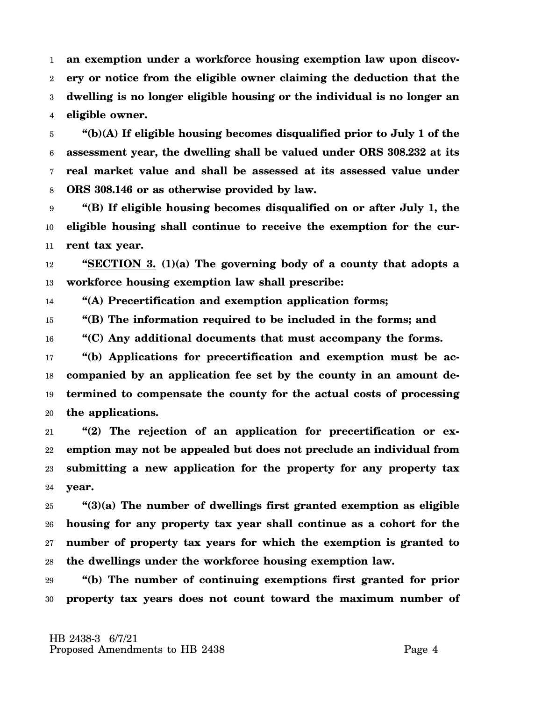1 2 3 4 **an exemption under a workforce housing exemption law upon discovery or notice from the eligible owner claiming the deduction that the dwelling is no longer eligible housing or the individual is no longer an eligible owner.**

5 6 7 8 **"(b)(A) If eligible housing becomes disqualified prior to July 1 of the assessment year, the dwelling shall be valued under ORS 308.232 at its real market value and shall be assessed at its assessed value under ORS 308.146 or as otherwise provided by law.**

9 10 11 **"(B) If eligible housing becomes disqualified on or after July 1, the eligible housing shall continue to receive the exemption for the current tax year.**

12 13 **"SECTION 3. (1)(a) The governing body of a county that adopts a workforce housing exemption law shall prescribe:**

14 **"(A) Precertification and exemption application forms;**

15 **"(B) The information required to be included in the forms; and**

16 **"(C) Any additional documents that must accompany the forms.**

17 18 19 20 **"(b) Applications for precertification and exemption must be accompanied by an application fee set by the county in an amount determined to compensate the county for the actual costs of processing the applications.**

21 22 23 24 **"(2) The rejection of an application for precertification or exemption may not be appealed but does not preclude an individual from submitting a new application for the property for any property tax year.**

25 26 27 28 **"(3)(a) The number of dwellings first granted exemption as eligible housing for any property tax year shall continue as a cohort for the number of property tax years for which the exemption is granted to the dwellings under the workforce housing exemption law.**

29 30 **"(b) The number of continuing exemptions first granted for prior property tax years does not count toward the maximum number of**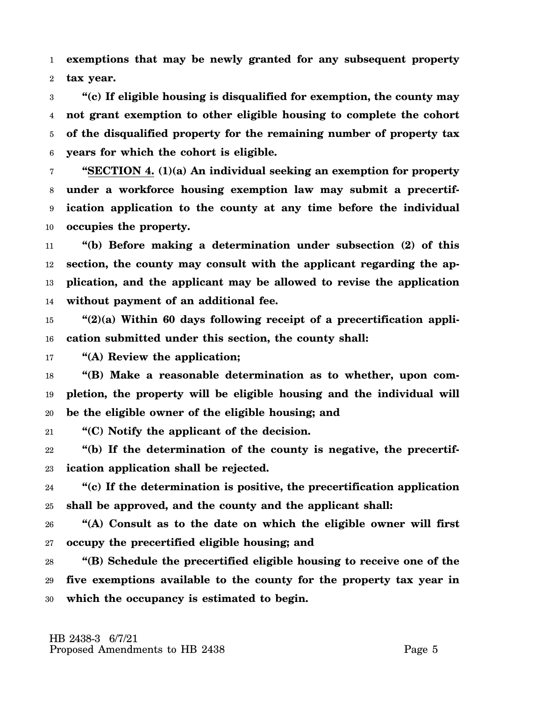1 2 **exemptions that may be newly granted for any subsequent property tax year.**

3 4 5 6 **"(c) If eligible housing is disqualified for exemption, the county may not grant exemption to other eligible housing to complete the cohort of the disqualified property for the remaining number of property tax years for which the cohort is eligible.**

7 8 9 10 **"SECTION 4. (1)(a) An individual seeking an exemption for property under a workforce housing exemption law may submit a precertification application to the county at any time before the individual occupies the property.**

11 12 13 14 **"(b) Before making a determination under subsection (2) of this section, the county may consult with the applicant regarding the application, and the applicant may be allowed to revise the application without payment of an additional fee.**

15 16 **"(2)(a) Within 60 days following receipt of a precertification application submitted under this section, the county shall:**

17 **"(A) Review the application;**

18 19 20 **"(B) Make a reasonable determination as to whether, upon completion, the property will be eligible housing and the individual will be the eligible owner of the eligible housing; and**

21 **"(C) Notify the applicant of the decision.**

22 23 **"(b) If the determination of the county is negative, the precertification application shall be rejected.**

24 25 **"(c) If the determination is positive, the precertification application shall be approved, and the county and the applicant shall:**

26 27 **"(A) Consult as to the date on which the eligible owner will first occupy the precertified eligible housing; and**

28 29 30 **"(B) Schedule the precertified eligible housing to receive one of the five exemptions available to the county for the property tax year in which the occupancy is estimated to begin.**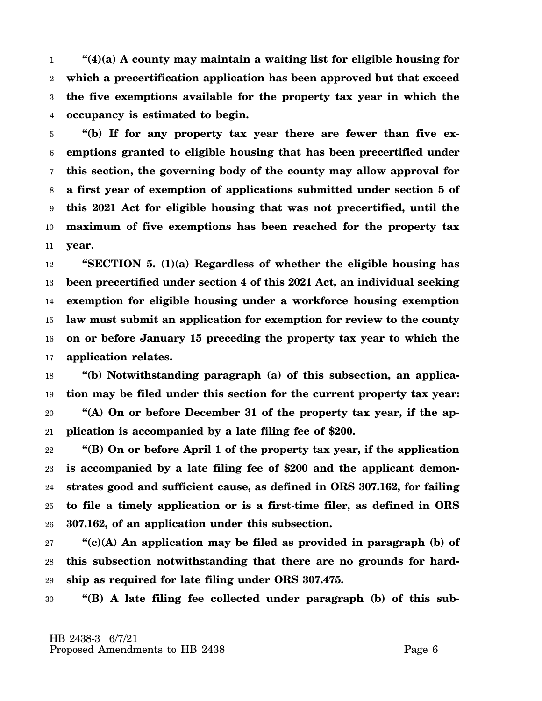1 2 3 4 **"(4)(a) A county may maintain a waiting list for eligible housing for which a precertification application has been approved but that exceed the five exemptions available for the property tax year in which the occupancy is estimated to begin.**

5 6 7 8 9 10 11 **"(b) If for any property tax year there are fewer than five exemptions granted to eligible housing that has been precertified under this section, the governing body of the county may allow approval for a first year of exemption of applications submitted under section 5 of this 2021 Act for eligible housing that was not precertified, until the maximum of five exemptions has been reached for the property tax year.**

12 13 14 15 16 17 **"SECTION 5. (1)(a) Regardless of whether the eligible housing has been precertified under section 4 of this 2021 Act, an individual seeking exemption for eligible housing under a workforce housing exemption law must submit an application for exemption for review to the county on or before January 15 preceding the property tax year to which the application relates.**

18 19 20 21 **"(b) Notwithstanding paragraph (a) of this subsection, an application may be filed under this section for the current property tax year: "(A) On or before December 31 of the property tax year, if the application is accompanied by a late filing fee of \$200.**

22 23 24 25 26 **"(B) On or before April 1 of the property tax year, if the application is accompanied by a late filing fee of \$200 and the applicant demonstrates good and sufficient cause, as defined in ORS 307.162, for failing to file a timely application or is a first-time filer, as defined in ORS 307.162, of an application under this subsection.**

27 28 29 **"(c)(A) An application may be filed as provided in paragraph (b) of this subsection notwithstanding that there are no grounds for hardship as required for late filing under ORS 307.475.**

30 **"(B) A late filing fee collected under paragraph (b) of this sub-**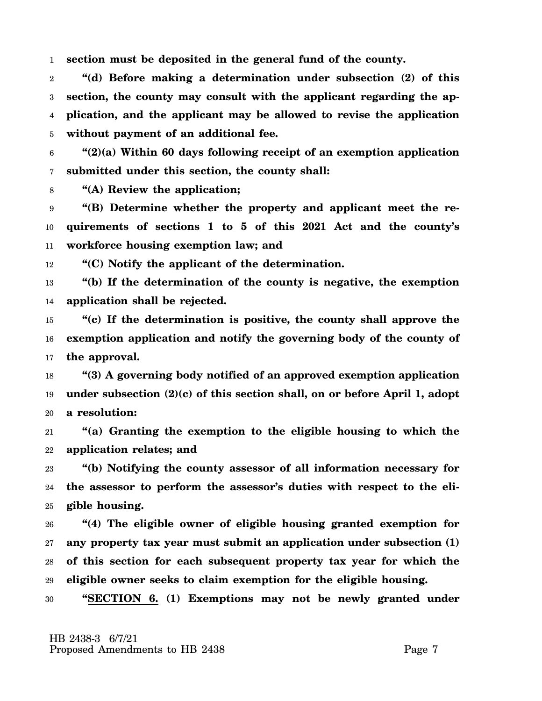1 **section must be deposited in the general fund of the county.**

2 3 4 5 **"(d) Before making a determination under subsection (2) of this section, the county may consult with the applicant regarding the application, and the applicant may be allowed to revise the application without payment of an additional fee.**

6 7 **"(2)(a) Within 60 days following receipt of an exemption application submitted under this section, the county shall:**

8 **"(A) Review the application;**

9 10 11 **"(B) Determine whether the property and applicant meet the requirements of sections 1 to 5 of this 2021 Act and the county's workforce housing exemption law; and**

12 **"(C) Notify the applicant of the determination.**

13 14 **"(b) If the determination of the county is negative, the exemption application shall be rejected.**

15 16 17 **"(c) If the determination is positive, the county shall approve the exemption application and notify the governing body of the county of the approval.**

18 19 20 **"(3) A governing body notified of an approved exemption application under subsection (2)(c) of this section shall, on or before April 1, adopt a resolution:**

21 22 **"(a) Granting the exemption to the eligible housing to which the application relates; and**

23 24 25 **"(b) Notifying the county assessor of all information necessary for the assessor to perform the assessor's duties with respect to the eligible housing.**

26 27 28 29 **"(4) The eligible owner of eligible housing granted exemption for any property tax year must submit an application under subsection (1) of this section for each subsequent property tax year for which the eligible owner seeks to claim exemption for the eligible housing.**

30 **"SECTION 6. (1) Exemptions may not be newly granted under**